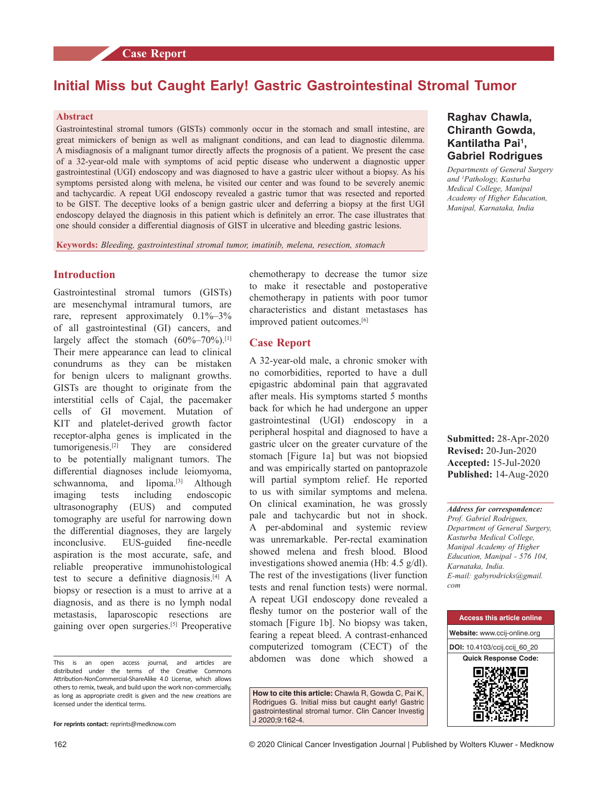# **Initial Miss but Caught Early! Gastric Gastrointestinal Stromal Tumor**

## **Abstract**

**STEP 2000** 

Gastrointestinal stromal tumors (GISTs) commonly occur in the stomach and small intestine, are great mimickers of benign as well as malignant conditions, and can lead to diagnostic dilemma. A misdiagnosis of a malignant tumor directly affects the prognosis of a patient. We present the case of a 32‑year‑old male with symptoms of acid peptic disease who underwent a diagnostic upper gastrointestinal (UGI) endoscopy and was diagnosed to have a gastric ulcer without a biopsy. As his symptoms persisted along with melena, he visited our center and was found to be severely anemic and tachycardic. A repeat UGI endoscopy revealed a gastric tumor that was resected and reported to be GIST. The deceptive looks of a benign gastric ulcer and deferring a biopsy at the first UGI endoscopy delayed the diagnosis in this patient which is definitely an error. The case illustrates that one should consider a differential diagnosis of GIST in ulcerative and bleeding gastric lesions.

**Keywords:** *Bleeding, gastrointestinal stromal tumor, imatinib, melena, resection, stomach*

## **Introduction**

Gastrointestinal stromal tumors (GISTs) are mesenchymal intramural tumors, are rare, represent approximately 0.1%–3% of all gastrointestinal (GI) cancers, and largely affect the stomach (60%–70%).<sup>[1]</sup> Their mere appearance can lead to clinical conundrums as they can be mistaken for benign ulcers to malignant growths. GISTs are thought to originate from the interstitial cells of Cajal, the pacemaker cells of GI movement. Mutation of KIT and platelet-derived growth factor receptor‑alpha genes is implicated in the tumorigenesis.[2] They are considered to be potentially malignant tumors. The differential diagnoses include leiomyoma, schwannoma, and lipoma.<sup>[3]</sup> Although imaging tests including endoscopic ultrasonography (EUS) and computed tomography are useful for narrowing down the differential diagnoses, they are largely inconclusive. EUS-guided fine-needle aspiration is the most accurate, safe, and reliable preoperative immunohistological test to secure a definitive diagnosis.[4] A biopsy or resection is a must to arrive at a diagnosis, and as there is no lymph nodal metastasis, laparoscopic resections are gaining over open surgeries.[5] Preoperative

This is an open access journal, and articles are distributed under the terms of the Creative Commons Attribution‑NonCommercial‑ShareAlike 4.0 License, which allows others to remix, tweak, and build upon the work non‑commercially, as long as appropriate credit is given and the new creations are licensed under the identical terms.

chemotherapy to decrease the tumor size to make it resectable and postoperative chemotherapy in patients with poor tumor characteristics and distant metastases has improved patient outcomes.<sup>[6]</sup>

#### **Case Report**

A 32‑year‑old male, a chronic smoker with no comorbidities, reported to have a dull epigastric abdominal pain that aggravated after meals. His symptoms started 5 months back for which he had undergone an upper gastrointestinal (UGI) endoscopy in a peripheral hospital and diagnosed to have a gastric ulcer on the greater curvature of the stomach [Figure 1a] but was not biopsied and was empirically started on pantoprazole will partial symptom relief. He reported to us with similar symptoms and melena. On clinical examination, he was grossly pale and tachycardic but not in shock. A per‑abdominal and systemic review was unremarkable. Per-rectal examination showed melena and fresh blood. Blood investigations showed anemia (Hb: 4.5 g/dl). The rest of the investigations (liver function tests and renal function tests) were normal. A repeat UGI endoscopy done revealed a fleshy tumor on the posterior wall of the stomach [Figure 1b]. No biopsy was taken, fearing a repeat bleed. A contrast-enhanced computerized tomogram (CECT) of the abdomen was done which showed a

**How to cite this article:** Chawla R, Gowda C, Pai K, Rodrigues G. Initial miss but caught early! Gastric gastrointestinal stromal tumor. Clin Cancer Investig J 2020;9:162-4.

## **Raghav Chawla, Chiranth Gowda, Kantilatha Pai1 , Gabriel Rodrigues**

*Departments of General Surgery and 1 Pathology, Kasturba Medical College, Manipal Academy of Higher Education, Manipal, Karnataka, India*

**Submitted:** 28-Apr-2020 **Revised:** 20-Jun-2020 **Accepted:** 15-Jul-2020 **Published:** 14-Aug-2020

*Address for correspondence: Prof. Gabriel Rodrigues, Department of General Surgery, Kasturba Medical College, Manipal Academy of Higher Education, Manipal ‑ 576 104, Karnataka, India. E‑mail: gabyrodricks@gmail. com*



**For reprints contact:** reprints@medknow.com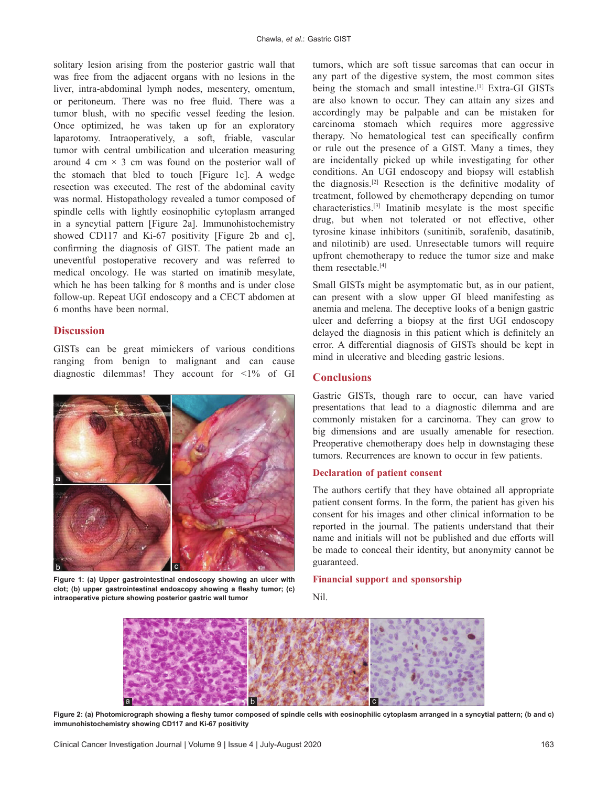solitary lesion arising from the posterior gastric wall that was free from the adjacent organs with no lesions in the liver, intra‑abdominal lymph nodes, mesentery, omentum, or peritoneum. There was no free fluid. There was a tumor blush, with no specific vessel feeding the lesion. Once optimized, he was taken up for an exploratory laparotomy. Intraoperatively, a soft, friable, vascular tumor with central umbilication and ulceration measuring around 4 cm  $\times$  3 cm was found on the posterior wall of the stomach that bled to touch [Figure 1c]. A wedge resection was executed. The rest of the abdominal cavity was normal. Histopathology revealed a tumor composed of spindle cells with lightly eosinophilic cytoplasm arranged in a syncytial pattern [Figure 2a]. Immunohistochemistry showed CD117 and Ki-67 positivity [Figure 2b and c], confirming the diagnosis of GIST. The patient made an uneventful postoperative recovery and was referred to medical oncology. He was started on imatinib mesylate, which he has been talking for 8 months and is under close follow‑up. Repeat UGI endoscopy and a CECT abdomen at 6 months have been normal.

## **Discussion**

GISTs can be great mimickers of various conditions ranging from benign to malignant and can cause diagnostic dilemmas! They account for <1% of GI



**Figure 1: (a) Upper gastrointestinal endoscopy showing an ulcer with clot; (b) upper gastrointestinal endoscopy showing a fleshy tumor; (c) intraoperative picture showing posterior gastric wall tumor**

tumors, which are soft tissue sarcomas that can occur in any part of the digestive system, the most common sites being the stomach and small intestine.<sup>[1]</sup> Extra-GI GISTs are also known to occur. They can attain any sizes and accordingly may be palpable and can be mistaken for carcinoma stomach which requires more aggressive therapy. No hematological test can specifically confirm or rule out the presence of a GIST. Many a times, they are incidentally picked up while investigating for other conditions. An UGI endoscopy and biopsy will establish the diagnosis.[2] Resection is the definitive modality of treatment, followed by chemotherapy depending on tumor characteristics.[3] Imatinib mesylate is the most specific drug, but when not tolerated or not effective, other tyrosine kinase inhibitors (sunitinib, sorafenib, dasatinib, and nilotinib) are used. Unresectable tumors will require upfront chemotherapy to reduce the tumor size and make them resectable.<sup>[4]</sup>

Small GISTs might be asymptomatic but, as in our patient, can present with a slow upper GI bleed manifesting as anemia and melena. The deceptive looks of a benign gastric ulcer and deferring a biopsy at the first UGI endoscopy delayed the diagnosis in this patient which is definitely an error. A differential diagnosis of GISTs should be kept in mind in ulcerative and bleeding gastric lesions.

## **Conclusions**

Gastric GISTs, though rare to occur, can have varied presentations that lead to a diagnostic dilemma and are commonly mistaken for a carcinoma. They can grow to big dimensions and are usually amenable for resection. Preoperative chemotherapy does help in downstaging these tumors. Recurrences are known to occur in few patients.

#### **Declaration of patient consent**

The authors certify that they have obtained all appropriate patient consent forms. In the form, the patient has given his consent for his images and other clinical information to be reported in the journal. The patients understand that their name and initials will not be published and due efforts will be made to conceal their identity, but anonymity cannot be guaranteed.

#### **Financial support and sponsorship**

Nil.



**Figure 2: (a) Photomicrograph showing a fleshy tumor composed of spindle cells with eosinophilic cytoplasm arranged in a syncytial pattern; (b and c) immunohistochemistry showing CD117 and Ki‑67 positivity**